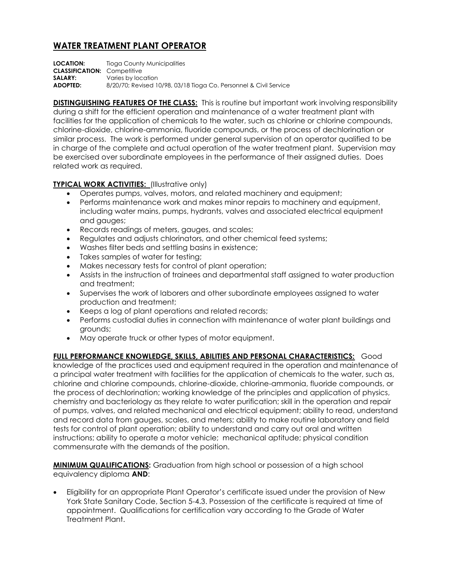## **WATER TREATMENT PLANT OPERATOR**

**LOCATION:** Tioga County Municipalities **CLASSIFICATION:** Competitive **SALARY:** Varies by location **ADOPTED:** 8/20/70; Revised 10/98, 03/18 Tioga Co. Personnel & Civil Service

**DISTINGUISHING FEATURES OF THE CLASS:** This is routine but important work involving responsibility during a shift for the efficient operation and maintenance of a water treatment plant with facilities for the application of chemicals to the water, such as chlorine or chlorine compounds, chlorine-dioxide, chlorine-ammonia, fluoride compounds, or the process of dechlorination or similar process. The work is performed under general supervision of an operator qualified to be in charge of the complete and actual operation of the water treatment plant. Supervision may be exercised over subordinate employees in the performance of their assigned duties. Does related work as required.

## **TYPICAL WORK ACTIVITIES:** (Illustrative only)

- Operates pumps, valves, motors, and related machinery and equipment;
- Performs maintenance work and makes minor repairs to machinery and equipment, including water mains, pumps, hydrants, valves and associated electrical equipment and gauges;
- Records readings of meters, gauges, and scales;
- Regulates and adjusts chlorinators, and other chemical feed systems;
- Washes filter beds and settling basins in existence;
- Takes samples of water for testing;
- Makes necessary tests for control of plant operation;
- Assists in the instruction of trainees and departmental staff assigned to water production and treatment;
- Supervises the work of laborers and other subordinate employees assigned to water production and treatment;
- Keeps a log of plant operations and related records;
- Performs custodial duties in connection with maintenance of water plant buildings and grounds;
- May operate truck or other types of motor equipment.

**FULL PERFORMANCE KNOWLEDGE, SKILLS, ABILITIES AND PERSONAL CHARACTERISTICS:** Good knowledge of the practices used and equipment required in the operation and maintenance of a principal water treatment with facilities for the application of chemicals to the water, such as, chlorine and chlorine compounds, chlorine-dioxide, chlorine-ammonia, fluoride compounds, or the process of dechlorination; working knowledge of the principles and application of physics, chemistry and bacteriology as they relate to water purification; skill in the operation and repair of pumps, valves, and related mechanical and electrical equipment; ability to read, understand and record data from gauges, scales, and meters; ability to make routine laboratory and field tests for control of plant operation; ability to understand and carry out oral and written instructions; ability to operate a motor vehicle; mechanical aptitude; physical condition commensurate with the demands of the position.

**MINIMUM QUALIFICATIONS:** Graduation from high school or possession of a high school equivalency diploma **AND**:

 Eligibility for an appropriate Plant Operator's certificate issued under the provision of New York State Sanitary Code, Section 5-4.3. Possession of the certificate is required at time of appointment. Qualifications for certification vary according to the Grade of Water Treatment Plant.